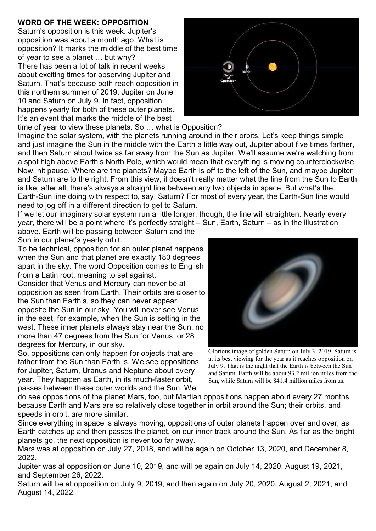## **WORD OF THE WEEK: OPPOSITION**

Saturn's opposition is this week. Jupiter's opposition was about a month ago. What is opposition? It marks the middle of the best time of year to see a planet … but why? There has been a lot of talk in recent weeks about exciting times for observing Jupiter and Saturn. That's because both reach opposition in this northern summer of 2019, Jupiter on June 10 and Saturn on July 9. In fact, opposition happens yearly for both of these outer planets. It's an event that marks the middle of the best time of year to view these planets. So … what is Opposition?



Imagine the solar system, with the planets running around in their orbits. Let's keep things simple and just imagine the Sun in the middle with the Earth a little way out, Jupiter about five times farther, and then Saturn about twice as far away from the Sun as Jupiter. We'll assume we're watching from a spot high above Earth's North Pole, which would mean that everything is moving counterclockwise. Now, hit pause. Where are the planets? Maybe Earth is off to the left of the Sun, and maybe Jupiter and Saturn are to the right. From this view, it doesn't really matter what the line from the Sun to Earth is like; after all, there's always a straight line between any two objects in space. But what's the Earth-Sun line doing with respect to, say, Saturn? For most of every year, the Earth-Sun line would need to jog off in a different direction to get to Saturn.

If we let our imaginary solar system run a little longer, though, the line will straighten. Nearly every year, there will be a point where it's perfectly straight – Sun, Earth, Saturn – as in the illustration

above. Earth will be passing between Saturn and the Sun in our planet's yearly orbit.

To be technical, opposition for an outer planet happens when the Sun and that planet are exactly 180 degrees apart in the sky. The word Opposition comes to English from a Latin root, meaning to set against.

Consider that Venus and Mercury can never be at opposition as seen from Earth. Their orbits are closer to the Sun than Earth's, so they can never appear opposite the Sun in our sky. You will never see Venus in the east, for example, when the Sun is setting in the west. These inner planets always stay near the Sun, no more than 47 degrees from the Sun for Venus, or 28 degrees for Mercury, in our sky.

So, oppositions can only happen for objects that are father from the Sun than Earth is. We see oppositions for Jupiter, Saturn, Uranus and Neptune about every year. They happen as Earth, in its much-faster orbit, passes between these outer worlds and the Sun. We



Glorious image of golden Saturn on July 3, 2019. Saturn is at its best viewing for the year as it reaches opposition on July 9. That is the night that the Earth is between the Sun and Saturn. Earth will be about 93.2 million miles from the Sun, while Saturn will be 841.4 million miles from us.

do see oppositions of the planet Mars, too, but Martian oppositions happen about every 27 months because Earth and Mars are so relatively close together in orbit around the Sun; their orbits, and speeds in orbit, are more similar.

Since everything in space is always moving, oppositions of outer planets happen over and over, as Earth catches up and then passes the planet, on our inner track around the Sun. As f ar as the bright planets go, the next opposition is never too far away.

Mars was at opposition on July 27, 2018, and will be again on October 13, 2020, and December 8, 2022.

Jupiter was at opposition on June 10, 2019, and will be again on July 14, 2020, August 19, 2021, and September 26, 2022.

Saturn will be at opposition on July 9, 2019, and then again on July 20, 2020, August 2, 2021, and August 14, 2022.